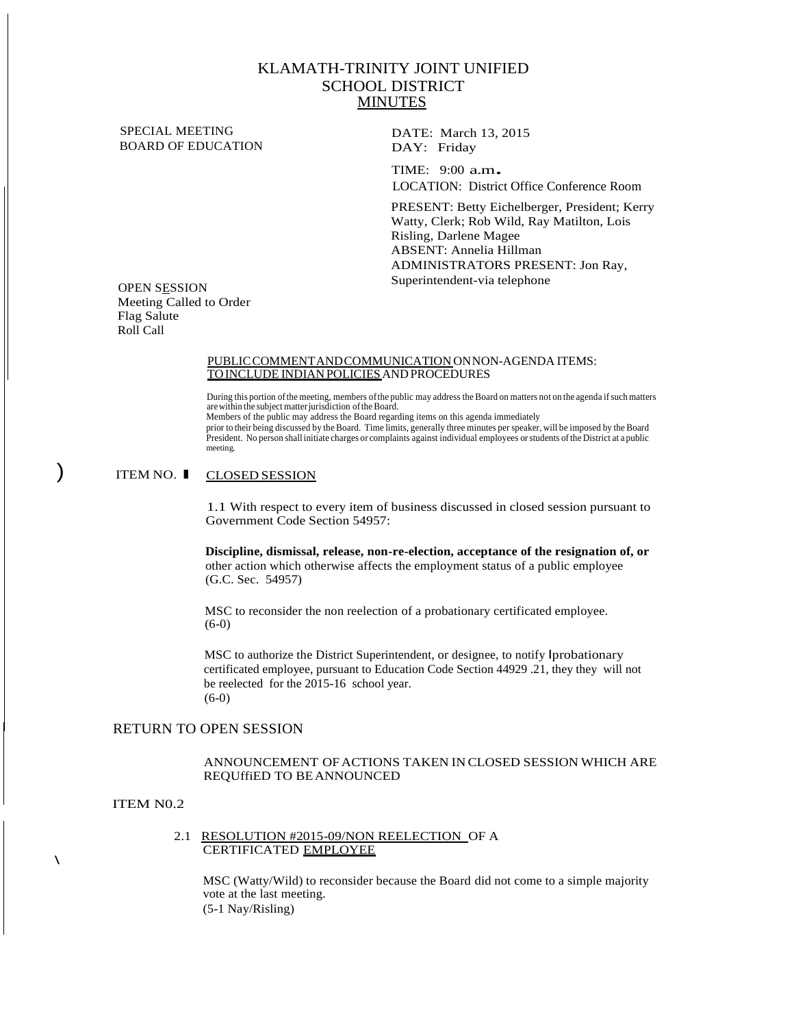## KLAMATH-TRINITY JOINT UNIFIED SCHOOL DISTRICT **MINUTES**

SPECIAL MEETING BOARD OF EDUCATION

DATE: March 13, 2015 DAY: Friday

TIME: 9:00 a.m. LOCATION: District Office Conference Room

PRESENT: Betty Eichelberger, President; Kerry Watty, Clerk; Rob Wild, Ray Matilton, Lois Risling, Darlene Magee ABSENT: Annelia Hillman ADMINISTRATORS PRESENT: Jon Ray, Superintendent-via telephone

OPEN SESSION Meeting Called to Order Flag Salute Roll Call

#### PUBLICCOMMENTANDCOMMUNICATION ONNON-AGENDA ITEMS: TOINCLUDE INDIANPOLICIESANDPROCEDURES

During this portion of the meeting, members of the public may address the Board on matters not on the agenda if such matters<br>are within the subject matter jurisdiction of the Board. Members of the public may address the Board regarding items on this agenda immediately prior to their being discussed by the Board. Time limits, generally three minutes per speaker, will be imposed by the Board President. No person shall initiate charges or complaints against individual employees orstudents ofthe District at a public meeting.

# ) ITEM NO. l CLOSED SESSION

1.1 With respect to every item of business discussed in closed session pursuant to Government Code Section 54957:

**Discipline, dismissal, release, non-re-election, acceptance of the resignation of, or**  other action which otherwise affects the employment status of a public employee (G.C. Sec. 54957)

MSC to reconsider the non reelection of a probationary certificated employee. (6-0)

MSC to authorize the District Superintendent, or designee, to notify Iprobationary certificated employee, pursuant to Education Code Section 44929 .21, they they will not be reelected for the 2015-16 school year. (6-0)

## RETURN TO OPEN SESSION

### ANNOUNCEMENT OFACTIONS TAKEN IN CLOSED SESSION WHICH ARE REQUffiED TO BEANNOUNCED

#### ITEM N0.2

 $\lambda$ 

#### 2.1 RESOLUTION #2015-09/NON REELECTION OF A CERTIFICATED EMPLOYEE

MSC (Watty/Wild) to reconsider because the Board did not come to a simple majority vote at the last meeting. (5-1 Nay/Risling)